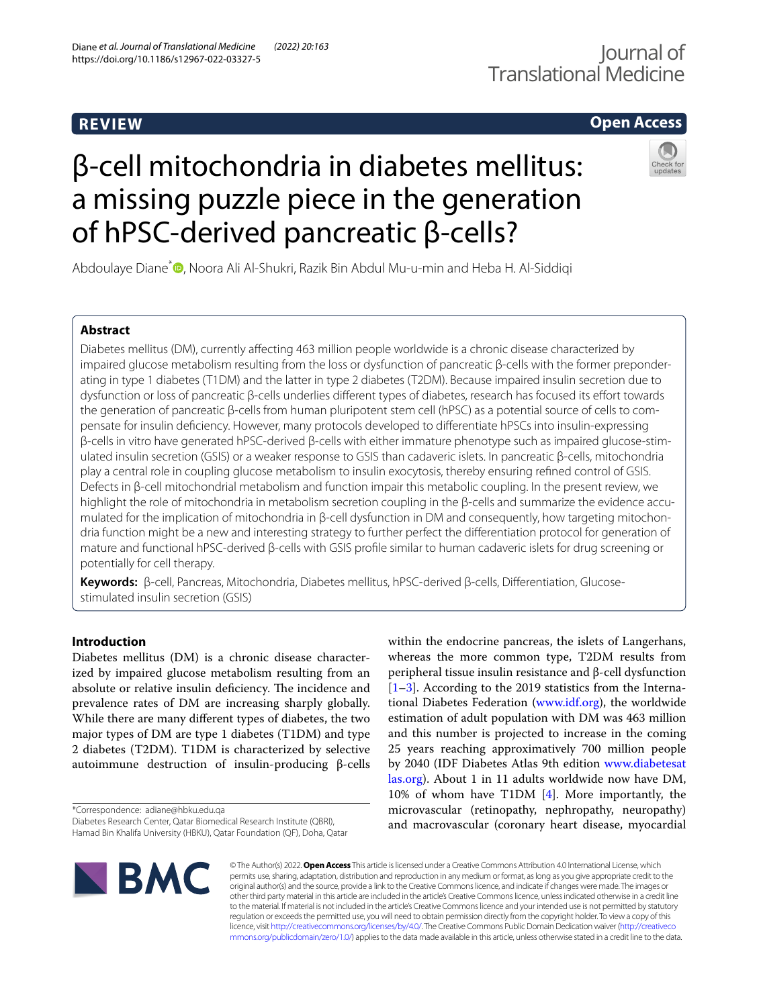# **REVIEW**

## **Open Access**

# β-cell mitochondria in diabetes mellitus: a missing puzzle piece in the generation of hPSC-derived pancreatic β-cells?



Abdoulaye Diane<sup>\*</sup><sup>®</sup>[,](http://orcid.org/0000-0002-6363-0793) Noora Ali Al-Shukri, Razik Bin Abdul Mu-u-min and Heba H. Al-Siddiqi

## **Abstract**

Diabetes mellitus (DM), currently afecting 463 million people worldwide is a chronic disease characterized by impaired glucose metabolism resulting from the loss or dysfunction of pancreatic β-cells with the former preponderating in type 1 diabetes (T1DM) and the latter in type 2 diabetes (T2DM). Because impaired insulin secretion due to dysfunction or loss of pancreatic β-cells underlies diferent types of diabetes, research has focused its efort towards the generation of pancreatic β-cells from human pluripotent stem cell (hPSC) as a potential source of cells to compensate for insulin defciency. However, many protocols developed to diferentiate hPSCs into insulin-expressing β-cells in vitro have generated hPSC-derived β-cells with either immature phenotype such as impaired glucose-stim‑ ulated insulin secretion (GSIS) or a weaker response to GSIS than cadaveric islets. In pancreatic β-cells, mitochondria play a central role in coupling glucose metabolism to insulin exocytosis, thereby ensuring refned control of GSIS. Defects in β-cell mitochondrial metabolism and function impair this metabolic coupling. In the present review, we highlight the role of mitochondria in metabolism secretion coupling in the β-cells and summarize the evidence accumulated for the implication of mitochondria in β-cell dysfunction in DM and consequently, how targeting mitochondria function might be a new and interesting strategy to further perfect the diferentiation protocol for generation of mature and functional hPSC-derived β-cells with GSIS profle similar to human cadaveric islets for drug screening or potentially for cell therapy.

**Keywords:** β-cell, Pancreas, Mitochondria, Diabetes mellitus, hPSC-derived β-cells, Diferentiation, Glucosestimulated insulin secretion (GSIS)

## **Introduction**

Diabetes mellitus (DM) is a chronic disease characterized by impaired glucose metabolism resulting from an absolute or relative insulin deficiency. The incidence and prevalence rates of DM are increasing sharply globally. While there are many diferent types of diabetes, the two major types of DM are type 1 diabetes (T1DM) and type 2 diabetes (T2DM). T1DM is characterized by selective autoimmune destruction of insulin-producing β-cells

\*Correspondence: adiane@hbku.edu.qa

within the endocrine pancreas, the islets of Langerhans, whereas the more common type, T2DM results from peripheral tissue insulin resistance and β-cell dysfunction [[1–](#page-7-0)[3\]](#page-7-1). According to the 2019 statistics from the International Diabetes Federation ([www.idf.org](http://www.idf.org)), the worldwide estimation of adult population with DM was 463 million and this number is projected to increase in the coming 25 years reaching approximatively 700 million people by 2040 (IDF Diabetes Atlas 9th edition [www.diabetesat](http://www.diabetesatlas.org) [las.org\)](http://www.diabetesatlas.org). About 1 in 11 adults worldwide now have DM, 10% of whom have T1DM [\[4](#page-7-2)]. More importantly, the microvascular (retinopathy, nephropathy, neuropathy) and macrovascular (coronary heart disease, myocardial



© The Author(s) 2022. **Open Access** This article is licensed under a Creative Commons Attribution 4.0 International License, which permits use, sharing, adaptation, distribution and reproduction in any medium or format, as long as you give appropriate credit to the original author(s) and the source, provide a link to the Creative Commons licence, and indicate if changes were made. The images or other third party material in this article are included in the article's Creative Commons licence, unless indicated otherwise in a credit line to the material. If material is not included in the article's Creative Commons licence and your intended use is not permitted by statutory regulation or exceeds the permitted use, you will need to obtain permission directly from the copyright holder. To view a copy of this licence, visit [http://creativecommons.org/licenses/by/4.0/.](http://creativecommons.org/licenses/by/4.0/) The Creative Commons Public Domain Dedication waiver ([http://creativeco](http://creativecommons.org/publicdomain/zero/1.0/) [mmons.org/publicdomain/zero/1.0/](http://creativecommons.org/publicdomain/zero/1.0/)) applies to the data made available in this article, unless otherwise stated in a credit line to the data.

Diabetes Research Center, Qatar Biomedical Research Institute (QBRI), Hamad Bin Khalifa University (HBKU), Qatar Foundation (QF), Doha, Qatar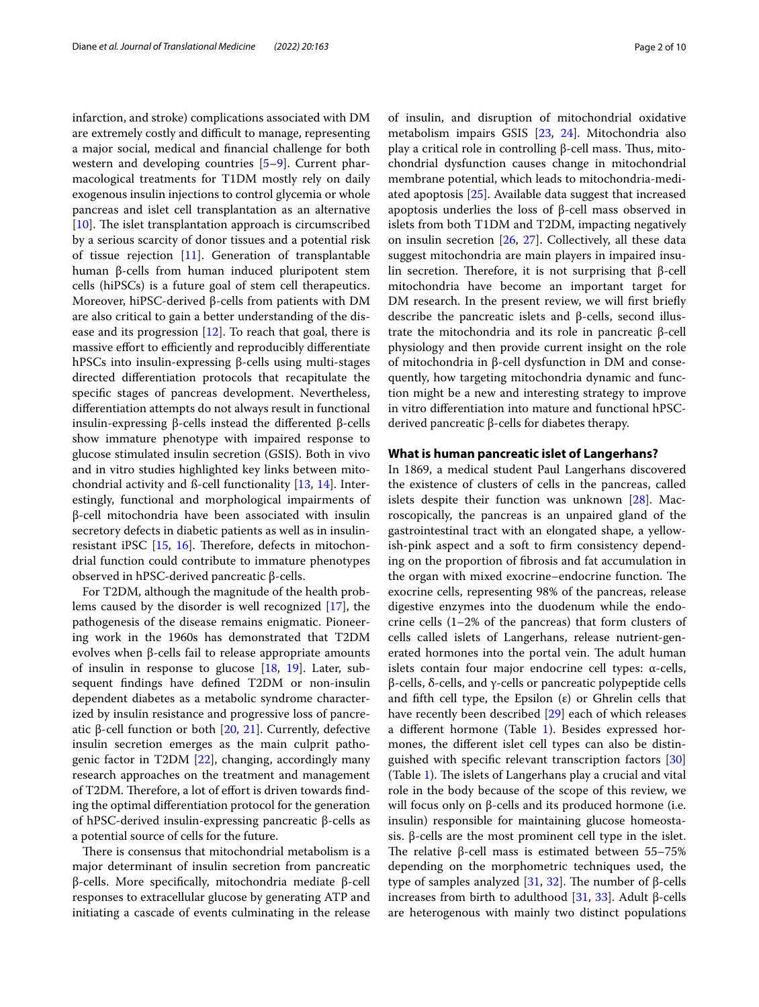infarction, and stroke) complications associated with DM are extremely costly and difficult to manage, representing a major social, medical and fnancial challenge for both western and developing countries [\[5](#page-7-3)[–9](#page-7-4)]. Current pharmacological treatments for T1DM mostly rely on daily exogenous insulin injections to control glycemia or whole pancreas and islet cell transplantation as an alternative [[10\]](#page-7-5). The islet transplantation approach is circumscribed by a serious scarcity of donor tissues and a potential risk of tissue rejection [\[11\]](#page-7-6). Generation of transplantable human β-cells from human induced pluripotent stem cells (hiPSCs) is a future goal of stem cell therapeutics. Moreover, hiPSC-derived β-cells from patients with DM are also critical to gain a better understanding of the disease and its progression [[12\]](#page-7-7). To reach that goal, there is massive effort to efficiently and reproducibly differentiate hPSCs into insulin-expressing β-cells using multi-stages directed diferentiation protocols that recapitulate the specifc stages of pancreas development. Nevertheless, diferentiation attempts do not always result in functional insulin-expressing β-cells instead the diferented β-cells show immature phenotype with impaired response to glucose stimulated insulin secretion (GSIS). Both in vivo and in vitro studies highlighted key links between mitochondrial activity and ß-cell functionality [[13,](#page-7-8) [14\]](#page-7-9). Interestingly, functional and morphological impairments of β-cell mitochondria have been associated with insulin secretory defects in diabetic patients as well as in insulinresistant iPSC  $[15, 16]$  $[15, 16]$  $[15, 16]$ . Therefore, defects in mitochondrial function could contribute to immature phenotypes observed in hPSC-derived pancreatic β-cells.

For T2DM, although the magnitude of the health problems caused by the disorder is well recognized [[17\]](#page-7-12), the pathogenesis of the disease remains enigmatic. Pioneering work in the 1960s has demonstrated that T2DM evolves when β-cells fail to release appropriate amounts of insulin in response to glucose [[18,](#page-7-13) [19\]](#page-7-14). Later, subsequent fndings have defned T2DM or non-insulin dependent diabetes as a metabolic syndrome characterized by insulin resistance and progressive loss of pancreatic β-cell function or both  $[20, 21]$  $[20, 21]$  $[20, 21]$  $[20, 21]$ . Currently, defective insulin secretion emerges as the main culprit pathogenic factor in T2DM [\[22](#page-8-0)], changing, accordingly many research approaches on the treatment and management of T2DM. Therefore, a lot of effort is driven towards finding the optimal diferentiation protocol for the generation of hPSC-derived insulin-expressing pancreatic β-cells as a potential source of cells for the future.

There is consensus that mitochondrial metabolism is a major determinant of insulin secretion from pancreatic β-cells. More specifcally, mitochondria mediate β-cell responses to extracellular glucose by generating ATP and initiating a cascade of events culminating in the release of insulin, and disruption of mitochondrial oxidative metabolism impairs GSIS [[23,](#page-8-1) [24\]](#page-8-2). Mitochondria also play a critical role in controlling β-cell mass. Thus, mitochondrial dysfunction causes change in mitochondrial membrane potential, which leads to mitochondria-mediated apoptosis [[25](#page-8-3)]. Available data suggest that increased apoptosis underlies the loss of β-cell mass observed in islets from both T1DM and T2DM, impacting negatively on insulin secretion [[26,](#page-8-4) [27](#page-8-5)]. Collectively, all these data suggest mitochondria are main players in impaired insulin secretion. Therefore, it is not surprising that β-cell mitochondria have become an important target for DM research. In the present review, we will first briefly describe the pancreatic islets and β-cells, second illustrate the mitochondria and its role in pancreatic β-cell physiology and then provide current insight on the role of mitochondria in β-cell dysfunction in DM and consequently, how targeting mitochondria dynamic and function might be a new and interesting strategy to improve in vitro diferentiation into mature and functional hPSCderived pancreatic β-cells for diabetes therapy.

#### **What is human pancreatic islet of Langerhans?**

In 1869, a medical student Paul Langerhans discovered the existence of clusters of cells in the pancreas, called islets despite their function was unknown [[28\]](#page-8-6). Macroscopically, the pancreas is an unpaired gland of the gastrointestinal tract with an elongated shape, a yellowish-pink aspect and a soft to frm consistency depending on the proportion of fbrosis and fat accumulation in the organ with mixed exocrine–endocrine function. The exocrine cells, representing 98% of the pancreas, release digestive enzymes into the duodenum while the endocrine cells (1–2% of the pancreas) that form clusters of cells called islets of Langerhans, release nutrient-generated hormones into the portal vein. The adult human islets contain four major endocrine cell types: α-cells, β-cells, δ-cells, and γ-cells or pancreatic polypeptide cells and fifth cell type, the Epsilon  $(\varepsilon)$  or Ghrelin cells that have recently been described [\[29](#page-8-7)] each of which releases a diferent hormone (Table [1\)](#page-2-0). Besides expressed hormones, the diferent islet cell types can also be distinguished with specifc relevant transcription factors [[30](#page-8-8)] (Table  $1$ ). The islets of Langerhans play a crucial and vital role in the body because of the scope of this review, we will focus only on β-cells and its produced hormone (i.e. insulin) responsible for maintaining glucose homeostasis. β-cells are the most prominent cell type in the islet. The relative β-cell mass is estimated between  $55-75%$ depending on the morphometric techniques used, the type of samples analyzed [\[31,](#page-8-9) [32\]](#page-8-10). The number of β-cells increases from birth to adulthood [\[31,](#page-8-9) [33](#page-8-11)]. Adult β-cells are heterogenous with mainly two distinct populations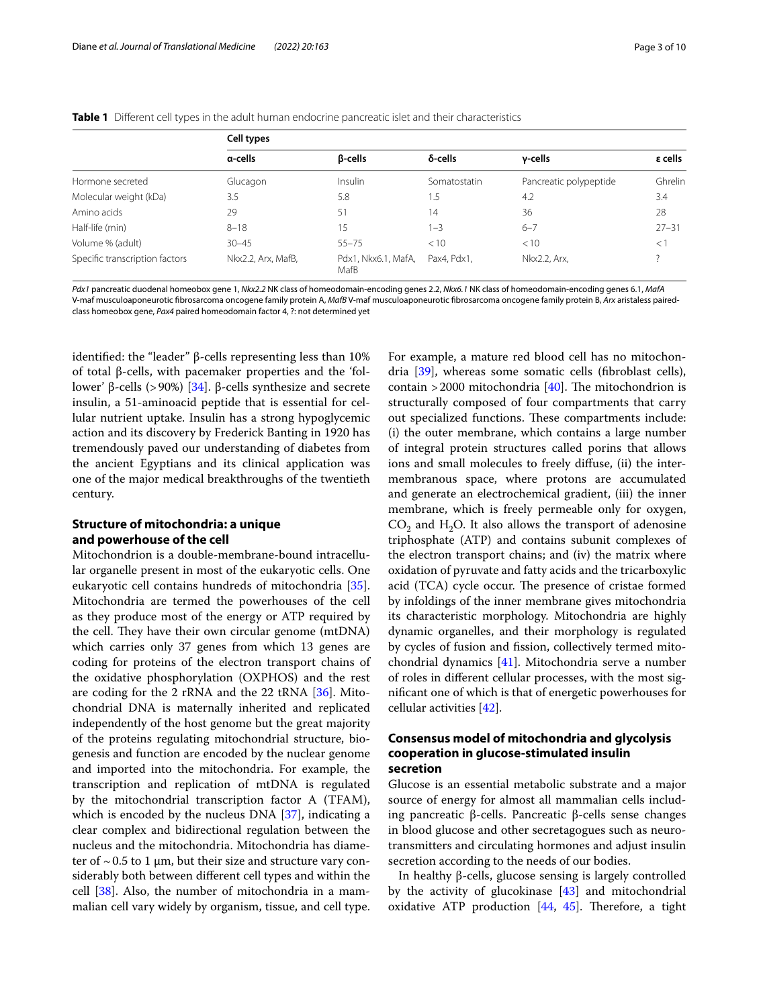<span id="page-2-0"></span>

|  |  | Table 1 Different cell types in the adult human endocrine pancreatic islet and their characteristics |  |
|--|--|------------------------------------------------------------------------------------------------------|--|
|--|--|------------------------------------------------------------------------------------------------------|--|

|                                | Cell types         |                             |              |                        |           |  |  |
|--------------------------------|--------------------|-----------------------------|--------------|------------------------|-----------|--|--|
|                                | a-cells            | <b>B-cells</b>              | δ-cells      | y-cells                | ε cells   |  |  |
| Hormone secreted               | Glucagon           | Insulin                     | Somatostatin | Pancreatic polypeptide | Ghrelin   |  |  |
| Molecular weight (kDa)         | 3.5                | 5.8                         | 1.5          | 4.2                    | 3.4       |  |  |
| Amino acids                    | 29                 | 51                          | 14           | 36                     | 28        |  |  |
| Half-life (min)                | $8 - 18$           | 15                          | 1–3          | $6 - 7$                | $27 - 31$ |  |  |
| Volume % (adult)               | $30 - 45$          | $55 - 75$                   | < 10         | < 10                   | < 1       |  |  |
| Specific transcription factors | Nkx2.2, Arx, MafB, | Pdx1, Nkx6.1, MafA,<br>MafB | Pax4. Pdx1.  | Nkx2.2, Arx,           |           |  |  |

*Pdx1* pancreatic duodenal homeobox gene 1, *Nkx2.2* NK class of homeodomain-encoding genes 2.2, *Nkx6.1* NK class of homeodomain-encoding genes 6.1, *MafA* V-maf musculoaponeurotic fbrosarcoma oncogene family protein A, *MafB* V-maf musculoaponeurotic fbrosarcoma oncogene family protein B, *Arx* aristaless pairedclass homeobox gene, *Pax4* paired homeodomain factor 4, ?: not determined yet

identifed: the "leader" β-cells representing less than 10% of total β-cells, with pacemaker properties and the 'follower' β-cells (>90%) [\[34](#page-8-12)]. β-cells synthesize and secrete insulin, a 51-aminoacid peptide that is essential for cellular nutrient uptake. Insulin has a strong hypoglycemic action and its discovery by Frederick Banting in 1920 has tremendously paved our understanding of diabetes from the ancient Egyptians and its clinical application was one of the major medical breakthroughs of the twentieth century.

## **Structure of mitochondria: a unique and powerhouse of the cell**

Mitochondrion is a double-membrane-bound intracellular organelle present in most of the eukaryotic cells. One eukaryotic cell contains hundreds of mitochondria [\[35](#page-8-13)]. Mitochondria are termed the powerhouses of the cell as they produce most of the energy or ATP required by the cell. They have their own circular genome (mtDNA) which carries only 37 genes from which 13 genes are coding for proteins of the electron transport chains of the oxidative phosphorylation (OXPHOS) and the rest are coding for the 2 rRNA and the 22 tRNA [\[36](#page-8-14)]. Mitochondrial DNA is maternally inherited and replicated independently of the host genome but the great majority of the proteins regulating mitochondrial structure, biogenesis and function are encoded by the nuclear genome and imported into the mitochondria. For example, the transcription and replication of mtDNA is regulated by the mitochondrial transcription factor A (TFAM), which is encoded by the nucleus DNA [[37](#page-8-15)], indicating a clear complex and bidirectional regulation between the nucleus and the mitochondria. Mitochondria has diameter of  $\sim$  0.5 to 1  $\mu$ m, but their size and structure vary considerably both between diferent cell types and within the cell [[38](#page-8-16)]. Also, the number of mitochondria in a mammalian cell vary widely by organism, tissue, and cell type. For example, a mature red blood cell has no mitochondria [\[39](#page-8-17)], whereas some somatic cells (fbroblast cells), contain  $>$  2000 mitochondria [\[40\]](#page-8-18). The mitochondrion is structurally composed of four compartments that carry out specialized functions. These compartments include: (i) the outer membrane, which contains a large number of integral protein structures called porins that allows ions and small molecules to freely difuse, (ii) the intermembranous space, where protons are accumulated and generate an electrochemical gradient, (iii) the inner membrane, which is freely permeable only for oxygen,  $CO<sub>2</sub>$  and H<sub>2</sub>O. It also allows the transport of adenosine triphosphate (ATP) and contains subunit complexes of the electron transport chains; and (iv) the matrix where oxidation of pyruvate and fatty acids and the tricarboxylic acid (TCA) cycle occur. The presence of cristae formed by infoldings of the inner membrane gives mitochondria its characteristic morphology. Mitochondria are highly dynamic organelles, and their morphology is regulated by cycles of fusion and fssion, collectively termed mitochondrial dynamics [\[41](#page-8-19)]. Mitochondria serve a number of roles in diferent cellular processes, with the most signifcant one of which is that of energetic powerhouses for cellular activities [[42\]](#page-8-20).

## **Consensus model of mitochondria and glycolysis cooperation in glucose‑stimulated insulin secretion**

Glucose is an essential metabolic substrate and a major source of energy for almost all mammalian cells including pancreatic β-cells. Pancreatic β-cells sense changes in blood glucose and other secretagogues such as neurotransmitters and circulating hormones and adjust insulin secretion according to the needs of our bodies.

In healthy β-cells, glucose sensing is largely controlled by the activity of glucokinase [[43\]](#page-8-21) and mitochondrial oxidative ATP production  $[44, 45]$  $[44, 45]$  $[44, 45]$  $[44, 45]$ . Therefore, a tight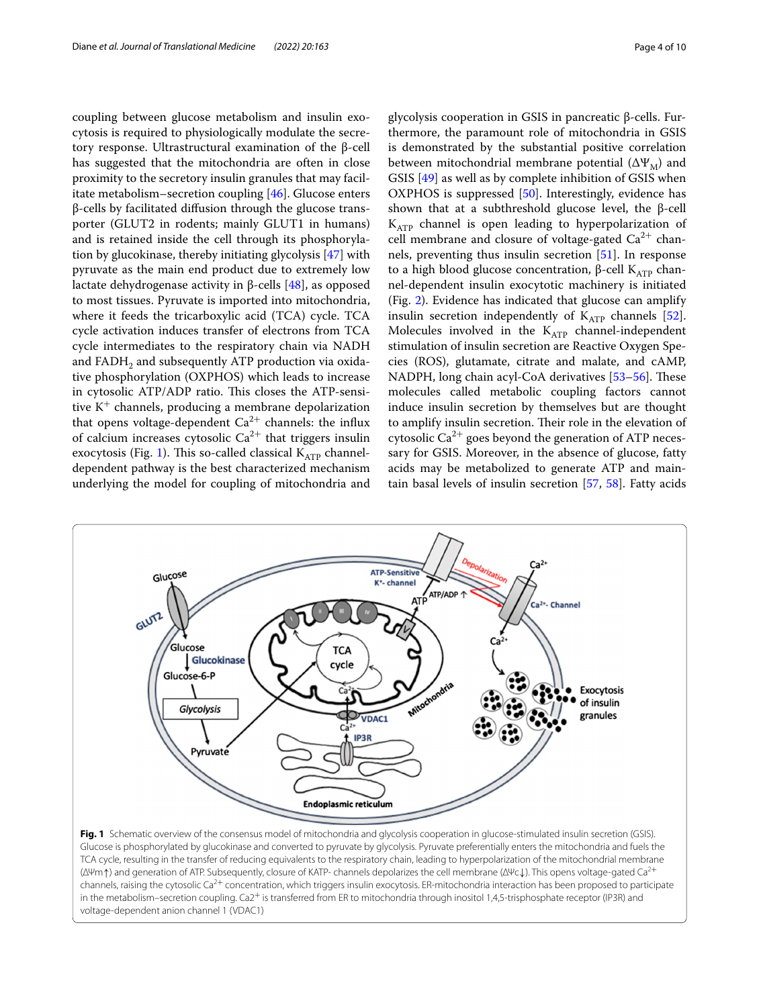coupling between glucose metabolism and insulin exocytosis is required to physiologically modulate the secretory response. Ultrastructural examination of the β-cell has suggested that the mitochondria are often in close proximity to the secretory insulin granules that may facilitate metabolism–secretion coupling [\[46](#page-8-24)]. Glucose enters β-cells by facilitated difusion through the glucose transporter (GLUT2 in rodents; mainly GLUT1 in humans) and is retained inside the cell through its phosphorylation by glucokinase, thereby initiating glycolysis [[47\]](#page-8-25) with pyruvate as the main end product due to extremely low lactate dehydrogenase activity in β-cells [\[48](#page-8-26)], as opposed to most tissues. Pyruvate is imported into mitochondria, where it feeds the tricarboxylic acid (TCA) cycle. TCA cycle activation induces transfer of electrons from TCA cycle intermediates to the respiratory chain via NADH and FADH<sub>2</sub> and subsequently ATP production via oxidative phosphorylation (OXPHOS) which leads to increase in cytosolic ATP/ADP ratio. This closes the ATP-sensitive  $K^+$  channels, producing a membrane depolarization that opens voltage-dependent  $Ca^{2+}$  channels: the influx of calcium increases cytosolic  $Ca^{2+}$  that triggers insulin exocytosis (Fig. [1\)](#page-3-0). This so-called classical  $K_{ATP}$  channeldependent pathway is the best characterized mechanism underlying the model for coupling of mitochondria and

GLUT2

glycolysis cooperation in GSIS in pancreatic β-cells. Furthermore, the paramount role of mitochondria in GSIS is demonstrated by the substantial positive correlation between mitochondrial membrane potential  $(\Delta \Psi_M)$  and GSIS [\[49\]](#page-8-27) as well as by complete inhibition of GSIS when OXPHOS is suppressed [\[50](#page-8-28)]. Interestingly, evidence has shown that at a subthreshold glucose level, the β-cell  $K_{ATP}$  channel is open leading to hyperpolarization of cell membrane and closure of voltage-gated  $Ca^{2+}$  channels, preventing thus insulin secretion [\[51](#page-8-29)]. In response to a high blood glucose concentration,  $β$ -cell K<sub>ATP</sub> channel-dependent insulin exocytotic machinery is initiated (Fig. [2\)](#page-4-0). Evidence has indicated that glucose can amplify insulin secretion independently of  $K_{ATP}$  channels [\[52](#page-8-30)]. Molecules involved in the  $K_{ATP}$  channel-independent stimulation of insulin secretion are Reactive Oxygen Species (ROS), glutamate, citrate and malate, and cAMP, NADPH, long chain acyl-CoA derivatives [53-[56\]](#page-8-32). These molecules called metabolic coupling factors cannot induce insulin secretion by themselves but are thought to amplify insulin secretion. Their role in the elevation of cytosolic  $Ca^{2+}$  goes beyond the generation of ATP neces-

sary for GSIS. Moreover, in the absence of glucose, fatty

acids may be metabolized to generate ATP and maintain basal levels of insulin secretion [\[57](#page-8-33), [58\]](#page-8-34). Fatty acids **ATP-Sensitive** Glucose K<sup>+</sup>- channel ATP/ADP - Channel Glucose **TCA** Glucokinase cycle Glucose-6-P Mitochondria **Exocytosis** of insulin Glycolysis granules VDAC1  $\epsilon$ IP3R Pyruvate

<span id="page-3-0"></span>**Fig. 1** Schematic overview of the consensus model of mitochondria and glycolysis cooperation in glucose-stimulated insulin secretion (GSIS). Glucose is phosphorylated by glucokinase and converted to pyruvate by glycolysis. Pyruvate preferentially enters the mitochondria and fuels the TCA cycle, resulting in the transfer of reducing equivalents to the respiratory chain, leading to hyperpolarization of the mitochondrial membrane (ΔΨm↑) and generation of ATP. Subsequently, closure of KATP- channels depolarizes the cell membrane (ΔΨc↓). This opens voltage-gated Ca2<sup>+</sup> channels, raising the cytosolic Ca<sup>2+</sup> concentration, which triggers insulin exocytosis. ER-mitochondria interaction has been proposed to participate in the metabolism–secretion coupling. Ca2<sup>+</sup> is transferred from ER to mitochondria through inositol 1,4,5-trisphosphate receptor (IP3R) and voltage-dependent anion channel 1 (VDAC1)

**Endoplasmic reticulum**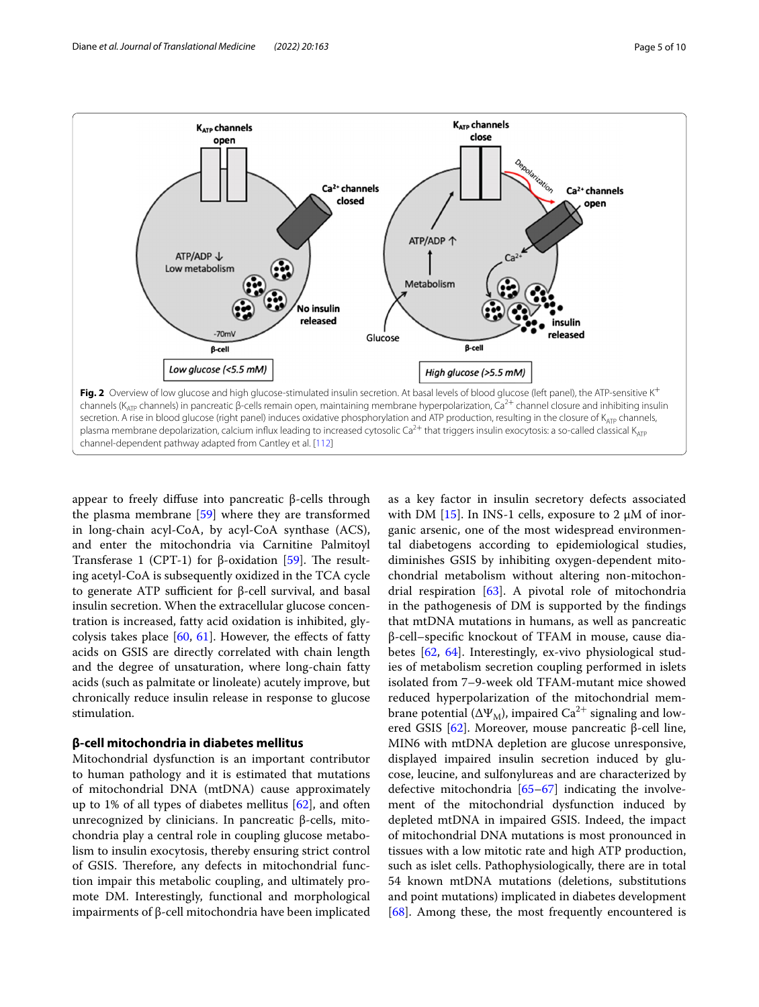

<span id="page-4-0"></span>appear to freely difuse into pancreatic β-cells through the plasma membrane [\[59\]](#page-8-35) where they are transformed in long-chain acyl-CoA, by acyl-CoA synthase (ACS), and enter the mitochondria via Carnitine Palmitoyl Transferase 1 (CPT-1) for  $\beta$ -oxidation [\[59](#page-8-35)]. The resulting acetyl-CoA is subsequently oxidized in the TCA cycle to generate ATP sufficient for β-cell survival, and basal insulin secretion. When the extracellular glucose concentration is increased, fatty acid oxidation is inhibited, glycolysis takes place  $[60, 61]$  $[60, 61]$  $[60, 61]$  $[60, 61]$  $[60, 61]$ . However, the effects of fatty acids on GSIS are directly correlated with chain length and the degree of unsaturation, where long-chain fatty acids (such as palmitate or linoleate) acutely improve, but chronically reduce insulin release in response to glucose stimulation.

## **β‑cell mitochondria in diabetes mellitus**

Mitochondrial dysfunction is an important contributor to human pathology and it is estimated that mutations of mitochondrial DNA (mtDNA) cause approximately up to 1% of all types of diabetes mellitus  $[62]$  $[62]$  $[62]$ , and often unrecognized by clinicians. In pancreatic β-cells, mitochondria play a central role in coupling glucose metabolism to insulin exocytosis, thereby ensuring strict control of GSIS. Therefore, any defects in mitochondrial function impair this metabolic coupling, and ultimately promote DM. Interestingly, functional and morphological impairments of β-cell mitochondria have been implicated

as a key factor in insulin secretory defects associated with DM  $[15]$  $[15]$ . In INS-1 cells, exposure to 2  $\mu$ M of inorganic arsenic, one of the most widespread environmental diabetogens according to epidemiological studies, diminishes GSIS by inhibiting oxygen-dependent mitochondrial metabolism without altering non-mitochondrial respiration  $[63]$  $[63]$ . A pivotal role of mitochondria in the pathogenesis of DM is supported by the fndings that mtDNA mutations in humans, as well as pancreatic β-cell–specifc knockout of TFAM in mouse, cause diabetes [\[62](#page-8-38), [64](#page-8-40)]. Interestingly, ex-vivo physiological studies of metabolism secretion coupling performed in islets isolated from 7–9-week old TFAM-mutant mice showed reduced hyperpolarization of the mitochondrial membrane potential ( $\Delta \Psi_M$ ), impaired Ca<sup>2+</sup> signaling and lowered GSIS [[62\]](#page-8-38). Moreover, mouse pancreatic β-cell line, MIN6 with mtDNA depletion are glucose unresponsive, displayed impaired insulin secretion induced by glucose, leucine, and sulfonylureas and are characterized by defective mitochondria [\[65](#page-8-41)[–67](#page-8-42)] indicating the involvement of the mitochondrial dysfunction induced by depleted mtDNA in impaired GSIS. Indeed, the impact of mitochondrial DNA mutations is most pronounced in tissues with a low mitotic rate and high ATP production, such as islet cells. Pathophysiologically, there are in total 54 known mtDNA mutations (deletions, substitutions and point mutations) implicated in diabetes development [[68\]](#page-8-43). Among these, the most frequently encountered is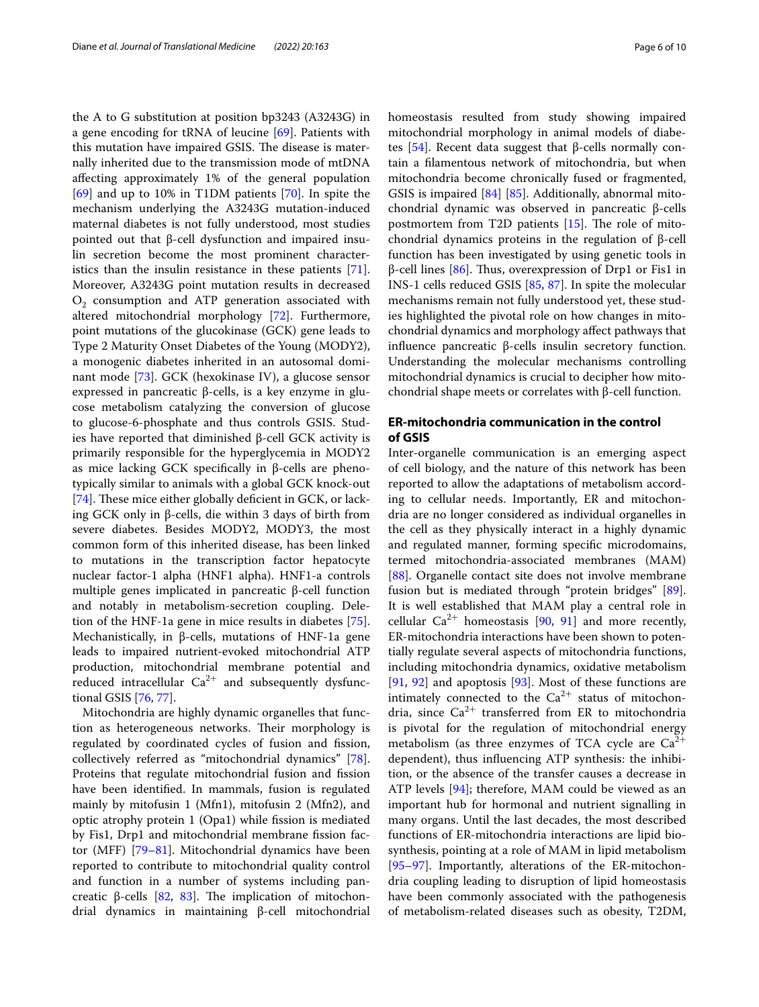the A to G substitution at position bp3243 (A3243G) in a gene encoding for tRNA of leucine [[69](#page-8-44)]. Patients with this mutation have impaired GSIS. The disease is maternally inherited due to the transmission mode of mtDNA afecting approximately 1% of the general population [[69\]](#page-8-44) and up to 10% in T1DM patients [[70](#page-9-1)]. In spite the mechanism underlying the A3243G mutation-induced maternal diabetes is not fully understood, most studies pointed out that β-cell dysfunction and impaired insulin secretion become the most prominent characteristics than the insulin resistance in these patients [\[71](#page-9-2)]. Moreover, A3243G point mutation results in decreased  $O<sub>2</sub>$  consumption and ATP generation associated with altered mitochondrial morphology [[72](#page-9-3)]. Furthermore, point mutations of the glucokinase (GCK) gene leads to Type 2 Maturity Onset Diabetes of the Young (MODY2), a monogenic diabetes inherited in an autosomal dominant mode [\[73](#page-9-4)]. GCK (hexokinase IV), a glucose sensor expressed in pancreatic β-cells, is a key enzyme in glucose metabolism catalyzing the conversion of glucose to glucose-6-phosphate and thus controls GSIS. Studies have reported that diminished β-cell GCK activity is primarily responsible for the hyperglycemia in MODY2 as mice lacking GCK specifcally in β-cells are phenotypically similar to animals with a global GCK knock-out [[74\]](#page-9-5). These mice either globally deficient in GCK, or lacking GCK only in β-cells, die within 3 days of birth from severe diabetes. Besides MODY2, MODY3, the most common form of this inherited disease, has been linked to mutations in the transcription factor hepatocyte nuclear factor-1 alpha (HNF1 alpha). HNF1-a controls multiple genes implicated in pancreatic β-cell function and notably in metabolism-secretion coupling. Deletion of the HNF-1a gene in mice results in diabetes [\[75](#page-9-6)]. Mechanistically, in β-cells, mutations of HNF-1a gene leads to impaired nutrient-evoked mitochondrial ATP production, mitochondrial membrane potential and reduced intracellular  $Ca^{2+}$  and subsequently dysfunctional GSIS [[76](#page-9-7), [77\]](#page-9-8).

Mitochondria are highly dynamic organelles that function as heterogeneous networks. Their morphology is regulated by coordinated cycles of fusion and fission, collectively referred as "mitochondrial dynamics" [\[78](#page-9-9)]. Proteins that regulate mitochondrial fusion and fission have been identifed. In mammals, fusion is regulated mainly by mitofusin 1 (Mfn1), mitofusin 2 (Mfn2), and optic atrophy protein 1 (Opa1) while fssion is mediated by Fis1, Drp1 and mitochondrial membrane fssion factor (MFF) [\[79](#page-9-10)[–81\]](#page-9-11). Mitochondrial dynamics have been reported to contribute to mitochondrial quality control and function in a number of systems including pan-creatic β-cells [\[82,](#page-9-12) [83](#page-9-13)]. The implication of mitochondrial dynamics in maintaining β-cell mitochondrial homeostasis resulted from study showing impaired mitochondrial morphology in animal models of diabetes  $[54]$  $[54]$ . Recent data suggest that β-cells normally contain a flamentous network of mitochondria, but when mitochondria become chronically fused or fragmented, GSIS is impaired [[84\]](#page-9-14) [[85\]](#page-9-15). Additionally, abnormal mitochondrial dynamic was observed in pancreatic β-cells postmortem from T2D patients  $[15]$  $[15]$  $[15]$ . The role of mitochondrial dynamics proteins in the regulation of β-cell function has been investigated by using genetic tools in  $β$ -cell lines [[86](#page-9-16)]. Thus, overexpression of Drp1 or Fis1 in INS-1 cells reduced GSIS [\[85](#page-9-15), [87\]](#page-9-17). In spite the molecular mechanisms remain not fully understood yet, these studies highlighted the pivotal role on how changes in mitochondrial dynamics and morphology afect pathways that infuence pancreatic β-cells insulin secretory function. Understanding the molecular mechanisms controlling mitochondrial dynamics is crucial to decipher how mitochondrial shape meets or correlates with β-cell function.

## **ER‑mitochondria communication in the control of GSIS**

Inter-organelle communication is an emerging aspect of cell biology, and the nature of this network has been reported to allow the adaptations of metabolism according to cellular needs. Importantly, ER and mitochondria are no longer considered as individual organelles in the cell as they physically interact in a highly dynamic and regulated manner, forming specifc microdomains, termed mitochondria-associated membranes (MAM) [[88\]](#page-9-18). Organelle contact site does not involve membrane fusion but is mediated through "protein bridges" [\[89](#page-9-19)]. It is well established that MAM play a central role in cellular  $Ca^{2+}$  homeostasis [\[90,](#page-9-20) [91\]](#page-9-21) and more recently, ER-mitochondria interactions have been shown to potentially regulate several aspects of mitochondria functions, including mitochondria dynamics, oxidative metabolism [[91,](#page-9-21) [92](#page-9-22)] and apoptosis [\[93\]](#page-9-23). Most of these functions are intimately connected to the  $Ca^{2+}$  status of mitochondria, since  $Ca^{2+}$  transferred from ER to mitochondria is pivotal for the regulation of mitochondrial energy metabolism (as three enzymes of TCA cycle are  $Ca^{2+}$ dependent), thus infuencing ATP synthesis: the inhibition, or the absence of the transfer causes a decrease in ATP levels [\[94](#page-9-24)]; therefore, MAM could be viewed as an important hub for hormonal and nutrient signalling in many organs. Until the last decades, the most described functions of ER-mitochondria interactions are lipid biosynthesis, pointing at a role of MAM in lipid metabolism [[95–](#page-9-25)[97\]](#page-9-26). Importantly, alterations of the ER-mitochondria coupling leading to disruption of lipid homeostasis have been commonly associated with the pathogenesis of metabolism-related diseases such as obesity, T2DM,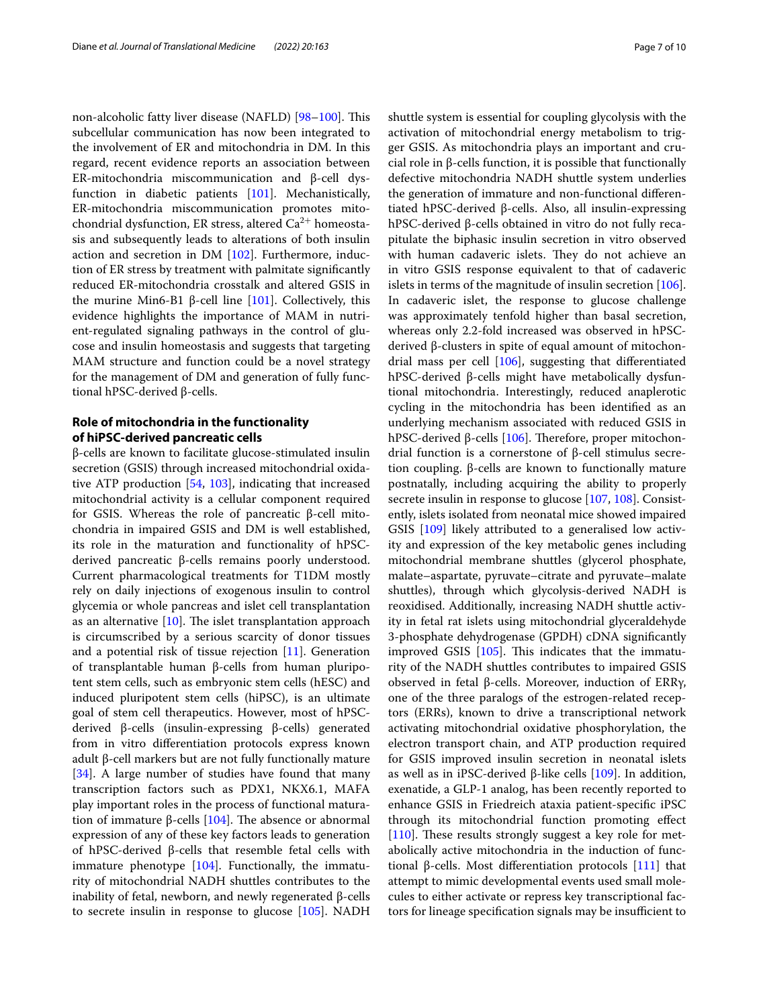non-alcoholic fatty liver disease (NAFLD) [\[98](#page-9-27)-100]. This subcellular communication has now been integrated to the involvement of ER and mitochondria in DM. In this regard, recent evidence reports an association between ER-mitochondria miscommunication and β-cell dysfunction in diabetic patients [[101\]](#page-9-29). Mechanistically, ER-mitochondria miscommunication promotes mitochondrial dysfunction, ER stress, altered  $Ca^{2+}$  homeostasis and subsequently leads to alterations of both insulin action and secretion in DM [[102](#page-9-30)]. Furthermore, induction of ER stress by treatment with palmitate signifcantly reduced ER-mitochondria crosstalk and altered GSIS in the murine Min6-B1 β-cell line  $[101]$  $[101]$ . Collectively, this evidence highlights the importance of MAM in nutrient-regulated signaling pathways in the control of glucose and insulin homeostasis and suggests that targeting MAM structure and function could be a novel strategy for the management of DM and generation of fully functional hPSC-derived β-cells.

## **Role of mitochondria in the functionality of hiPSC‑derived pancreatic cells**

β-cells are known to facilitate glucose-stimulated insulin secretion (GSIS) through increased mitochondrial oxidative ATP production [[54,](#page-8-45) [103\]](#page-9-31), indicating that increased mitochondrial activity is a cellular component required for GSIS. Whereas the role of pancreatic β-cell mitochondria in impaired GSIS and DM is well established, its role in the maturation and functionality of hPSCderived pancreatic β-cells remains poorly understood. Current pharmacological treatments for T1DM mostly rely on daily injections of exogenous insulin to control glycemia or whole pancreas and islet cell transplantation as an alternative  $[10]$  $[10]$ . The islet transplantation approach is circumscribed by a serious scarcity of donor tissues and a potential risk of tissue rejection  $[11]$ . Generation of transplantable human β-cells from human pluripotent stem cells, such as embryonic stem cells (hESC) and induced pluripotent stem cells (hiPSC), is an ultimate goal of stem cell therapeutics. However, most of hPSCderived β-cells (insulin-expressing β-cells) generated from in vitro diferentiation protocols express known adult β-cell markers but are not fully functionally mature [[34\]](#page-8-12). A large number of studies have found that many transcription factors such as PDX1, NKX6.1, MAFA play important roles in the process of functional maturation of immature β-cells  $[104]$  $[104]$ . The absence or abnormal expression of any of these key factors leads to generation of hPSC-derived β-cells that resemble fetal cells with immature phenotype [[104\]](#page-9-32). Functionally, the immaturity of mitochondrial NADH shuttles contributes to the inability of fetal, newborn, and newly regenerated β-cells to secrete insulin in response to glucose [[105\]](#page-9-33). NADH shuttle system is essential for coupling glycolysis with the activation of mitochondrial energy metabolism to trigger GSIS. As mitochondria plays an important and crucial role in β-cells function, it is possible that functionally defective mitochondria NADH shuttle system underlies the generation of immature and non-functional diferentiated hPSC-derived β-cells. Also, all insulin-expressing hPSC-derived β-cells obtained in vitro do not fully recapitulate the biphasic insulin secretion in vitro observed with human cadaveric islets. They do not achieve an in vitro GSIS response equivalent to that of cadaveric islets in terms of the magnitude of insulin secretion [\[106](#page-9-34)]. In cadaveric islet, the response to glucose challenge was approximately tenfold higher than basal secretion, whereas only 2.2-fold increased was observed in hPSCderived β-clusters in spite of equal amount of mitochondrial mass per cell [[106](#page-9-34)], suggesting that diferentiated hPSC-derived β-cells might have metabolically dysfuntional mitochondria. Interestingly, reduced anaplerotic cycling in the mitochondria has been identifed as an underlying mechanism associated with reduced GSIS in hPSC-derived β-cells [\[106\]](#page-9-34). Therefore, proper mitochondrial function is a cornerstone of β-cell stimulus secretion coupling. β-cells are known to functionally mature postnatally, including acquiring the ability to properly secrete insulin in response to glucose [\[107](#page-9-35), [108\]](#page-9-36). Consistently, islets isolated from neonatal mice showed impaired GSIS [[109](#page-9-37)] likely attributed to a generalised low activity and expression of the key metabolic genes including mitochondrial membrane shuttles (glycerol phosphate, malate–aspartate, pyruvate–citrate and pyruvate–malate shuttles), through which glycolysis-derived NADH is reoxidised. Additionally, increasing NADH shuttle activity in fetal rat islets using mitochondrial glyceraldehyde 3-phosphate dehydrogenase (GPDH) cDNA signifcantly improved GSIS [[105\]](#page-9-33). This indicates that the immaturity of the NADH shuttles contributes to impaired GSIS observed in fetal β-cells. Moreover, induction of ERRγ, one of the three paralogs of the estrogen-related receptors (ERRs), known to drive a transcriptional network activating mitochondrial oxidative phosphorylation, the electron transport chain, and ATP production required for GSIS improved insulin secretion in neonatal islets as well as in iPSC-derived β-like cells  $[109]$  $[109]$ . In addition, exenatide, a GLP-1 analog, has been recently reported to enhance GSIS in Friedreich ataxia patient-specifc iPSC through its mitochondrial function promoting efect [[110\]](#page-9-38). These results strongly suggest a key role for metabolically active mitochondria in the induction of functional β-cells. Most diferentiation protocols [\[111\]](#page-9-39) that attempt to mimic developmental events used small molecules to either activate or repress key transcriptional factors for lineage specification signals may be insufficient to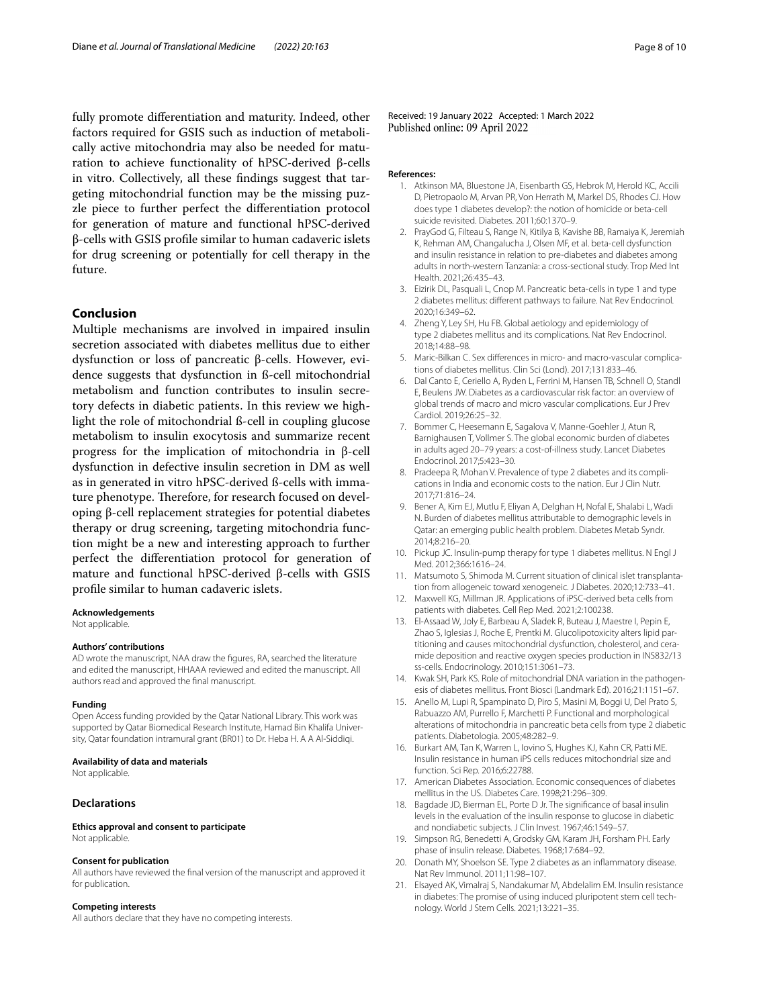fully promote diferentiation and maturity. Indeed, other factors required for GSIS such as induction of metabolically active mitochondria may also be needed for maturation to achieve functionality of hPSC-derived β-cells in vitro. Collectively, all these fndings suggest that targeting mitochondrial function may be the missing puzzle piece to further perfect the diferentiation protocol for generation of mature and functional hPSC-derived β-cells with GSIS profle similar to human cadaveric islets for drug screening or potentially for cell therapy in the future.

## **Conclusion**

Multiple mechanisms are involved in impaired insulin secretion associated with diabetes mellitus due to either dysfunction or loss of pancreatic β-cells. However, evidence suggests that dysfunction in ß-cell mitochondrial metabolism and function contributes to insulin secretory defects in diabetic patients. In this review we highlight the role of mitochondrial ß-cell in coupling glucose metabolism to insulin exocytosis and summarize recent progress for the implication of mitochondria in β-cell dysfunction in defective insulin secretion in DM as well as in generated in vitro hPSC-derived ß-cells with immature phenotype. Therefore, for research focused on developing β-cell replacement strategies for potential diabetes therapy or drug screening, targeting mitochondria function might be a new and interesting approach to further perfect the diferentiation protocol for generation of mature and functional hPSC-derived β-cells with GSIS profle similar to human cadaveric islets.

**Acknowledgements**

Not applicable.

#### **Authors' contributions**

AD wrote the manuscript, NAA draw the fgures, RA, searched the literature and edited the manuscript, HHAAA reviewed and edited the manuscript. All authors read and approved the fnal manuscript.

#### **Funding**

Open Access funding provided by the Qatar National Library. This work was supported by Qatar Biomedical Research Institute, Hamad Bin Khalifa University, Qatar foundation intramural grant (BR01) to Dr. Heba H. A A Al-Siddiqi.

#### **Availability of data and materials**

Not applicable.

#### **Declarations**

**Ethics approval and consent to participate** Not applicable.

#### **Consent for publication**

All authors have reviewed the fnal version of the manuscript and approved it for publication.

#### **Competing interests**

All authors declare that they have no competing interests.

Received: 19 January 2022 Accepted: 1 March 2022 Published online: 09 April 2022

#### <span id="page-7-0"></span>**References:**

- 1. Atkinson MA, Bluestone JA, Eisenbarth GS, Hebrok M, Herold KC, Accili D, Pietropaolo M, Arvan PR, Von Herrath M, Markel DS, Rhodes CJ. How does type 1 diabetes develop?: the notion of homicide or beta-cell suicide revisited. Diabetes. 2011;60:1370–9.
- 2. PrayGod G, Filteau S, Range N, Kitilya B, Kavishe BB, Ramaiya K, Jeremiah K, Rehman AM, Changalucha J, Olsen MF, et al. beta-cell dysfunction and insulin resistance in relation to pre-diabetes and diabetes among adults in north-western Tanzania: a cross-sectional study. Trop Med Int Health. 2021;26:435–43.
- <span id="page-7-1"></span>3. Eizirik DL, Pasquali L, Cnop M. Pancreatic beta-cells in type 1 and type 2 diabetes mellitus: diferent pathways to failure. Nat Rev Endocrinol. 2020;16:349–62.
- <span id="page-7-2"></span>4. Zheng Y, Ley SH, Hu FB. Global aetiology and epidemiology of type 2 diabetes mellitus and its complications. Nat Rev Endocrinol. 2018;14:88–98.
- <span id="page-7-3"></span>5. Maric-Bilkan C. Sex differences in micro- and macro-vascular complications of diabetes mellitus. Clin Sci (Lond). 2017;131:833–46.
- 6. Dal Canto E, Ceriello A, Ryden L, Ferrini M, Hansen TB, Schnell O, Standl E, Beulens JW. Diabetes as a cardiovascular risk factor: an overview of global trends of macro and micro vascular complications. Eur J Prev Cardiol. 2019;26:25–32.
- 7. Bommer C, Heesemann E, Sagalova V, Manne-Goehler J, Atun R, Barnighausen T, Vollmer S. The global economic burden of diabetes in adults aged 20–79 years: a cost-of-illness study. Lancet Diabetes Endocrinol. 2017;5:423–30.
- 8. Pradeepa R, Mohan V. Prevalence of type 2 diabetes and its complications in India and economic costs to the nation. Eur J Clin Nutr. 2017;71:816–24.
- <span id="page-7-4"></span>9. Bener A, Kim EJ, Mutlu F, Eliyan A, Delghan H, Nofal E, Shalabi L, Wadi N. Burden of diabetes mellitus attributable to demographic levels in Qatar: an emerging public health problem. Diabetes Metab Syndr. 2014;8:216–20.
- <span id="page-7-5"></span>10. Pickup JC. Insulin-pump therapy for type 1 diabetes mellitus. N Engl J Med. 2012;366:1616–24.
- <span id="page-7-6"></span>11. Matsumoto S, Shimoda M. Current situation of clinical islet transplantation from allogeneic toward xenogeneic. J Diabetes. 2020;12:733–41.
- <span id="page-7-7"></span>12. Maxwell KG, Millman JR. Applications of iPSC-derived beta cells from patients with diabetes. Cell Rep Med. 2021;2:100238.
- <span id="page-7-8"></span>13. El-Assaad W, Joly E, Barbeau A, Sladek R, Buteau J, Maestre I, Pepin E, Zhao S, Iglesias J, Roche E, Prentki M. Glucolipotoxicity alters lipid partitioning and causes mitochondrial dysfunction, cholesterol, and ceramide deposition and reactive oxygen species production in INS832/13 ss-cells. Endocrinology. 2010;151:3061–73.
- <span id="page-7-9"></span>14. Kwak SH, Park KS. Role of mitochondrial DNA variation in the pathogenesis of diabetes mellitus. Front Biosci (Landmark Ed). 2016;21:1151–67.
- <span id="page-7-10"></span>15. Anello M, Lupi R, Spampinato D, Piro S, Masini M, Boggi U, Del Prato S, Rabuazzo AM, Purrello F, Marchetti P. Functional and morphological alterations of mitochondria in pancreatic beta cells from type 2 diabetic patients. Diabetologia. 2005;48:282–9.
- <span id="page-7-11"></span>16. Burkart AM, Tan K, Warren L, Iovino S, Hughes KJ, Kahn CR, Patti ME. Insulin resistance in human iPS cells reduces mitochondrial size and function. Sci Rep. 2016;6:22788.
- <span id="page-7-12"></span>17. American Diabetes Association. Economic consequences of diabetes mellitus in the US. Diabetes Care. 1998;21:296–309.
- <span id="page-7-13"></span>18. Bagdade JD, Bierman EL, Porte D Jr. The signifcance of basal insulin levels in the evaluation of the insulin response to glucose in diabetic and nondiabetic subjects. J Clin Invest. 1967;46:1549–57.
- <span id="page-7-14"></span>19. Simpson RG, Benedetti A, Grodsky GM, Karam JH, Forsham PH. Early phase of insulin release. Diabetes. 1968;17:684–92.
- <span id="page-7-15"></span>20. Donath MY, Shoelson SE. Type 2 diabetes as an infammatory disease. Nat Rev Immunol. 2011;11:98–107.
- <span id="page-7-16"></span>21. Elsayed AK, Vimalraj S, Nandakumar M, Abdelalim EM. Insulin resistance in diabetes: The promise of using induced pluripotent stem cell technology. World J Stem Cells. 2021;13:221–35.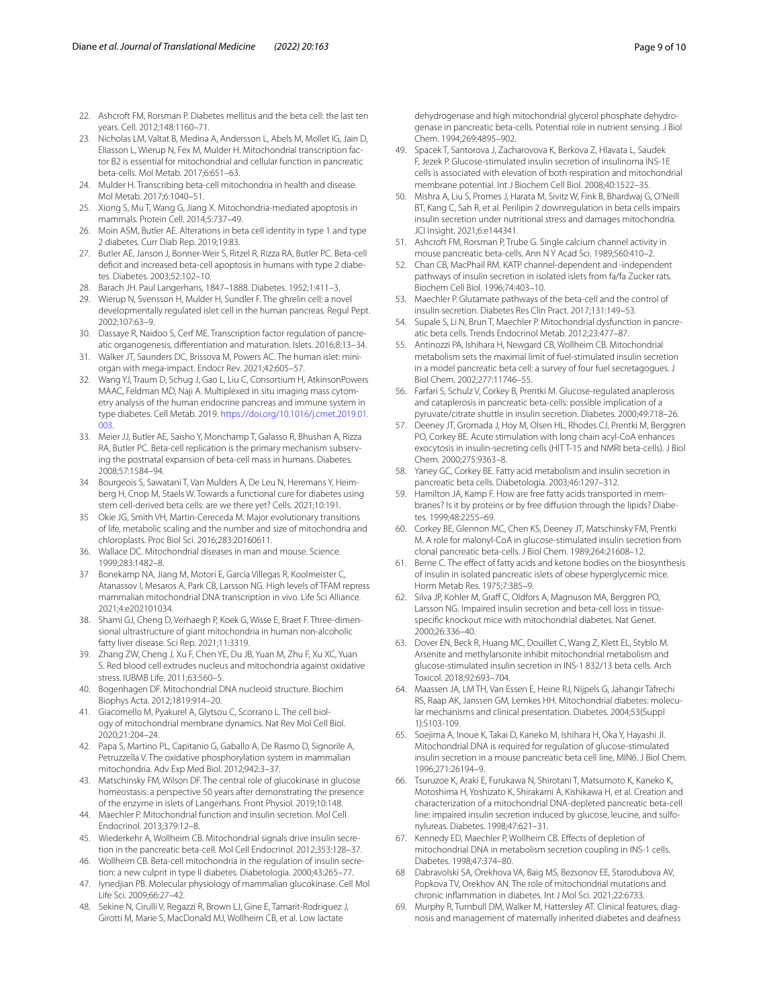- <span id="page-8-0"></span>22. Ashcroft FM, Rorsman P. Diabetes mellitus and the beta cell: the last ten years. Cell. 2012;148:1160–71.
- <span id="page-8-1"></span>23. Nicholas LM, Valtat B, Medina A, Andersson L, Abels M, Mollet IG, Jain D, Eliasson L, Wierup N, Fex M, Mulder H. Mitochondrial transcription factor B2 is essential for mitochondrial and cellular function in pancreatic beta-cells. Mol Metab. 2017;6:651–63.
- <span id="page-8-2"></span>24. Mulder H. Transcribing beta-cell mitochondria in health and disease. Mol Metab. 2017;6:1040–51.
- <span id="page-8-3"></span>25. Xiong S, Mu T, Wang G, Jiang X. Mitochondria-mediated apoptosis in mammals. Protein Cell. 2014;5:737–49.
- <span id="page-8-4"></span>26. Moin ASM, Butler AE. Alterations in beta cell identity in type 1 and type 2 diabetes. Curr Diab Rep. 2019;19:83.
- <span id="page-8-5"></span>27. Butler AE, Janson J, Bonner-Weir S, Ritzel R, Rizza RA, Butler PC. Beta-cell deficit and increased beta-cell apoptosis in humans with type 2 diabetes. Diabetes. 2003;52:102–10.
- <span id="page-8-6"></span>28. Barach JH. Paul Langerhans, 1847–1888. Diabetes. 1952;1:411–3.
- <span id="page-8-7"></span>29. Wierup N, Svensson H, Mulder H, Sundler F. The ghrelin cell: a novel developmentally regulated islet cell in the human pancreas. Regul Pept. 2002;107:63–9.
- <span id="page-8-8"></span>30. Dassaye R, Naidoo S, Cerf ME. Transcription factor regulation of pancreatic organogenesis, diferentiation and maturation. Islets. 2016;8:13–34.
- <span id="page-8-9"></span>31. Walker JT, Saunders DC, Brissova M, Powers AC. The human islet: miniorgan with mega-impact. Endocr Rev. 2021;42:605–57.
- <span id="page-8-10"></span>32. Wang YJ, Traum D, Schug J, Gao L, Liu C, Consortium H, AtkinsonPowers MAAC, Feldman MD, Naji A. Multiplexed in situ imaging mass cytometry analysis of the human endocrine pancreas and immune system in type diabetes. Cell Metab. 2019. [https://doi.org/10.1016/j.cmet.2019.01.](https://doi.org/10.1016/j.cmet.2019.01.003) [003](https://doi.org/10.1016/j.cmet.2019.01.003).
- <span id="page-8-11"></span>33. Meier JJ, Butler AE, Saisho Y, Monchamp T, Galasso R, Bhushan A, Rizza RA, Butler PC. Beta-cell replication is the primary mechanism subserving the postnatal expansion of beta-cell mass in humans. Diabetes. 2008;57:1584–94.
- <span id="page-8-12"></span>Bourgeois S, Sawatani T, Van Mulders A, De Leu N, Heremans Y, Heimberg H, Cnop M, Staels W. Towards a functional cure for diabetes using stem cell-derived beta cells: are we there yet? Cells. 2021;10:191.
- <span id="page-8-13"></span>Okie JG, Smith VH, Martin-Cereceda M. Major evolutionary transitions of life, metabolic scaling and the number and size of mitochondria and chloroplasts. Proc Biol Sci. 2016;283:20160611.
- <span id="page-8-14"></span>36. Wallace DC. Mitochondrial diseases in man and mouse. Science. 1999;283:1482–8.
- <span id="page-8-15"></span>37 Bonekamp NA, Jiang M, Motori E, Garcia Villegas R, Koolmeister C, Atanassov I, Mesaros A, Park CB, Larsson NG. High levels of TFAM repress mammalian mitochondrial DNA transcription in vivo. Life Sci Alliance. 2021;4:e202101034.
- <span id="page-8-16"></span>38. Shami GJ, Cheng D, Verhaegh P, Koek G, Wisse E, Braet F. Three-dimensional ultrastructure of giant mitochondria in human non-alcoholic fatty liver disease. Sci Rep. 2021;11:3319.
- <span id="page-8-17"></span>39. Zhang ZW, Cheng J, Xu F, Chen YE, Du JB, Yuan M, Zhu F, Xu XC, Yuan S. Red blood cell extrudes nucleus and mitochondria against oxidative stress. IUBMB Life. 2011;63:560–5.
- <span id="page-8-18"></span>40. Bogenhagen DF. Mitochondrial DNA nucleoid structure. Biochim Biophys Acta. 2012;1819:914–20.
- <span id="page-8-19"></span>41. Giacomello M, Pyakurel A, Glytsou C, Scorrano L. The cell biology of mitochondrial membrane dynamics. Nat Rev Mol Cell Biol. 2020;21:204–24.
- <span id="page-8-20"></span>42. Papa S, Martino PL, Capitanio G, Gaballo A, De Rasmo D, Signorile A, Petruzzella V. The oxidative phosphorylation system in mammalian mitochondria. Adv Exp Med Biol. 2012;942:3–37.
- <span id="page-8-21"></span>43. Matschinsky FM, Wilson DF. The central role of glucokinase in glucose homeostasis: a perspective 50 years after demonstrating the presence of the enzyme in islets of Langerhans. Front Physiol. 2019;10:148.
- <span id="page-8-22"></span>44. Maechler P. Mitochondrial function and insulin secretion. Mol Cell Endocrinol. 2013;379:12–8.
- <span id="page-8-23"></span>45. Wiederkehr A, Wollheim CB. Mitochondrial signals drive insulin secretion in the pancreatic beta-cell. Mol Cell Endocrinol. 2012;353:128–37.
- <span id="page-8-24"></span>46. Wollheim CB. Beta-cell mitochondria in the regulation of insulin secretion: a new culprit in type II diabetes. Diabetologia. 2000;43:265–77.
- <span id="page-8-25"></span>47. Iynedjian PB. Molecular physiology of mammalian glucokinase. Cell Mol Life Sci. 2009;66:27–42.
- <span id="page-8-26"></span>Sekine N, Cirulli V, Regazzi R, Brown LJ, Gine E, Tamarit-Rodriguez J, Girotti M, Marie S, MacDonald MJ, Wollheim CB, et al. Low lactate

dehydrogenase and high mitochondrial glycerol phosphate dehydrogenase in pancreatic beta-cells. Potential role in nutrient sensing. J Biol Chem. 1994;269:4895–902.

- <span id="page-8-27"></span>49. Spacek T, Santorova J, Zacharovova K, Berkova Z, Hlavata L, Saudek F, Jezek P. Glucose-stimulated insulin secretion of insulinoma INS-1E cells is associated with elevation of both respiration and mitochondrial membrane potential. Int J Biochem Cell Biol. 2008;40:1522–35.
- <span id="page-8-28"></span>50. Mishra A, Liu S, Promes J, Harata M, Sivitz W, Fink B, Bhardwaj G, O'Neill BT, Kang C, Sah R, et al. Perilipin 2 downregulation in beta cells impairs insulin secretion under nutritional stress and damages mitochondria. JCI Insight. 2021;6:e144341.
- <span id="page-8-29"></span>51. Ashcroft FM, Rorsman P, Trube G. Single calcium channel activity in mouse pancreatic beta-cells. Ann N Y Acad Sci. 1989;560:410–2.
- <span id="page-8-30"></span>52. Chan CB, MacPhail RM. KATP channel-dependent and -independent pathways of insulin secretion in isolated islets from fa/fa Zucker rats. Biochem Cell Biol. 1996;74:403–10.
- <span id="page-8-31"></span>53. Maechler P. Glutamate pathways of the beta-cell and the control of insulin secretion. Diabetes Res Clin Pract. 2017;131:149–53.
- <span id="page-8-45"></span>54. Supale S, Li N, Brun T, Maechler P. Mitochondrial dysfunction in pancreatic beta cells. Trends Endocrinol Metab. 2012;23:477–87.
- 55. Antinozzi PA, Ishihara H, Newgard CB, Wollheim CB. Mitochondrial metabolism sets the maximal limit of fuel-stimulated insulin secretion in a model pancreatic beta cell: a survey of four fuel secretagogues. J Biol Chem. 2002;277:11746–55.
- <span id="page-8-32"></span>56. Farfari S, Schulz V, Corkey B, Prentki M. Glucose-regulated anaplerosis and cataplerosis in pancreatic beta-cells: possible implication of a pyruvate/citrate shuttle in insulin secretion. Diabetes. 2000;49:718–26.
- <span id="page-8-33"></span>57. Deeney JT, Gromada J, Hoy M, Olsen HL, Rhodes CJ, Prentki M, Berggren PO, Corkey BE. Acute stimulation with long chain acyl-CoA enhances exocytosis in insulin-secreting cells (HIT T-15 and NMRI beta-cells). J Biol Chem. 2000;275:9363–8.
- <span id="page-8-34"></span>58. Yaney GC, Corkey BE. Fatty acid metabolism and insulin secretion in pancreatic beta cells. Diabetologia. 2003;46:1297–312.
- <span id="page-8-35"></span>59. Hamilton JA, Kamp F. How are free fatty acids transported in membranes? Is it by proteins or by free diffusion through the lipids? Diabetes. 1999;48:2255–69.
- <span id="page-8-36"></span>60. Corkey BE, Glennon MC, Chen KS, Deeney JT, Matschinsky FM, Prentki M. A role for malonyl-CoA in glucose-stimulated insulin secretion from clonal pancreatic beta-cells. J Biol Chem. 1989;264:21608–12.
- <span id="page-8-37"></span>61. Berne C. The efect of fatty acids and ketone bodies on the biosynthesis of insulin in isolated pancreatic islets of obese hyperglycemic mice. Horm Metab Res. 1975;7:385–9.
- <span id="page-8-38"></span>62. Silva JP, Kohler M, Graf C, Oldfors A, Magnuson MA, Berggren PO, Larsson NG. Impaired insulin secretion and beta-cell loss in tissuespecifc knockout mice with mitochondrial diabetes. Nat Genet. 2000;26:336–40.
- <span id="page-8-39"></span>63. Dover EN, Beck R, Huang MC, Douillet C, Wang Z, Klett EL, Styblo M. Arsenite and methylarsonite inhibit mitochondrial metabolism and glucose-stimulated insulin secretion in INS-1 832/13 beta cells. Arch Toxicol. 2018;92:693–704.
- <span id="page-8-40"></span>64. Maassen JA, LM TH, Van Essen E, Heine RJ, Nijpels G, Jahangir Tafrechi RS, Raap AK, Janssen GM, Lemkes HH. Mitochondrial diabetes: molecular mechanisms and clinical presentation. Diabetes. 2004;53(Suppl 1):S103-109.
- <span id="page-8-41"></span>65. Soejima A, Inoue K, Takai D, Kaneko M, Ishihara H, Oka Y, Hayashi JI. Mitochondrial DNA is required for regulation of glucose-stimulated insulin secretion in a mouse pancreatic beta cell line, MIN6. J Biol Chem. 1996;271:26194–9.
- 66. Tsuruzoe K, Araki E, Furukawa N, Shirotani T, Matsumoto K, Kaneko K, Motoshima H, Yoshizato K, Shirakami A, Kishikawa H, et al. Creation and characterization of a mitochondrial DNA-depleted pancreatic beta-cell line: impaired insulin secretion induced by glucose, leucine, and sulfonylureas. Diabetes. 1998;47:621–31.
- <span id="page-8-42"></span>67. Kennedy ED, Maechler P, Wollheim CB. Efects of depletion of mitochondrial DNA in metabolism secretion coupling in INS-1 cells. Diabetes. 1998;47:374–80.
- <span id="page-8-43"></span>68 Dabravolski SA, Orekhova VA, Baig MS, Bezsonov EE, Starodubova AV, Popkova TV, Orekhov AN. The role of mitochondrial mutations and chronic infammation in diabetes. Int J Mol Sci. 2021;22:6733.
- <span id="page-8-44"></span>69. Murphy R, Turnbull DM, Walker M, Hattersley AT. Clinical features, diagnosis and management of maternally inherited diabetes and deafness